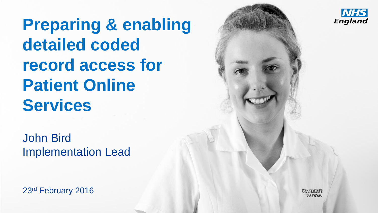**Preparing & enabling detailed coded record access for Patient Online Services**

John Bird Implementation Lead

23rd February 2016



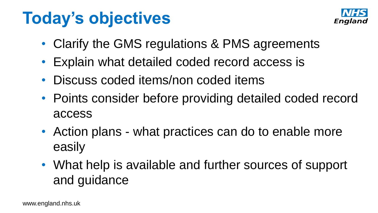## **Today's objectives**



- Clarify the GMS regulations & PMS agreements
- Explain what detailed coded record access is
- Discuss coded items/non coded items
- Points consider before providing detailed coded record access
- Action plans what practices can do to enable more easily
- What help is available and further sources of support and guidance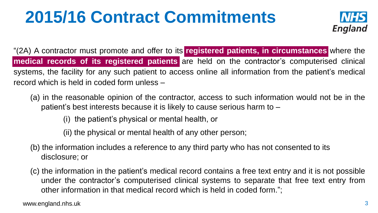## **2015/16 Contract Commitments**



"(2A) A contractor must promote and offer to its **registered patients, in circumstances** where the **medical records of its registered patients** are held on the contractor's computerised clinical systems, the facility for any such patient to access online all information from the patient's medical record which is held in coded form unless –

(a) in the reasonable opinion of the contractor, access to such information would not be in the patient's best interests because it is likely to cause serious harm to –

(i) the patient's physical or mental health, or

(ii) the physical or mental health of any other person;

- (b) the information includes a reference to any third party who has not consented to its disclosure; or
- (c) the information in the patient's medical record contains a free text entry and it is not possible under the contractor's computerised clinical systems to separate that free text entry from other information in that medical record which is held in coded form.";

www.england.nhs.uk 3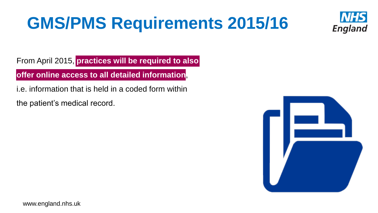## **GMS/PMS Requirements 2015/16**



From April 2015, **practices will be required to also** 

**offer online access to all detailed information**,

i.e. information that is held in a coded form within

the patient's medical record.

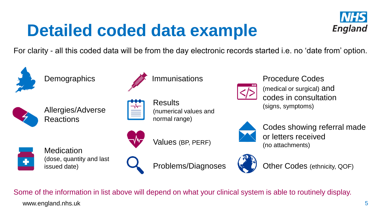## **Detailed coded data example**



For clarity - all this coded data will be from the day electronic records started i.e. no 'date from' option.



**Demographics** 



Allergies/Adverse Reactions



Immunisations

**Results** (numerical values and normal range)



Values (BP, PERF)



**Medication** (dose, quantity and last issued date)



Problems/Diagnoses



Procedure Codes

(medical or surgical) and codes in consultation (signs, symptoms)



Codes showing referral made or letters received (no attachments)



Other Codes (ethnicity, QOF)

www.england.nhs.uk Some of the information in list above will depend on what your clinical system is able to routinely display.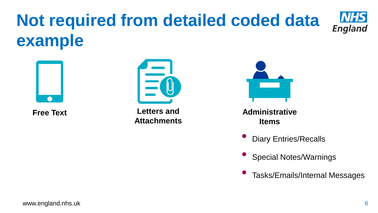## **Not required from detailed coded data example**





**Free Text Letters and Attachments**



**Administrative Items**

- Diary Entries/Recalls
- Special Notes/Warnings
- Tasks/Emails/Internal Messages

**NHS** 

England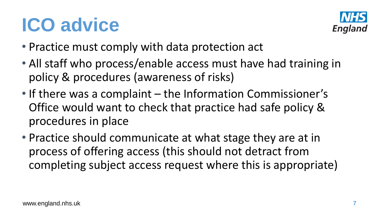# **ICO advice**



- Practice must comply with data protection act
- All staff who process/enable access must have had training in policy & procedures (awareness of risks)
- If there was a complaint the Information Commissioner's Office would want to check that practice had safe policy & procedures in place
- Practice should communicate at what stage they are at in process of offering access (this should not detract from completing subject access request where this is appropriate)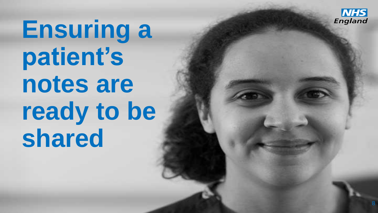

**Ensuring a patient's notes are**  ready to be **shared**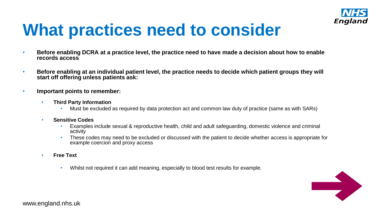

## **What practices need to consider**

- **Before enabling DCRA at a practice level, the practice need to have made a decision about how to enable records access**
- **Before enabling at an individual patient level, the practice needs to decide which patient groups they will start off offering unless patients ask:**
- **Important points to remember:**
	- **Third Party Information**
		- Must be excluded as required by data protection act and common law duty of practice (same as with SARs)
	- **Sensitive Codes** 
		- Examples include sexual & reproductive health, child and adult safeguarding, domestic violence and criminal activity
		- These codes may need to be excluded or discussed with the patient to decide whether access is appropriate for example coercion and proxy access
	- **Free Text**
		- Whilst not required it can add meaning, especially to blood test results for example.

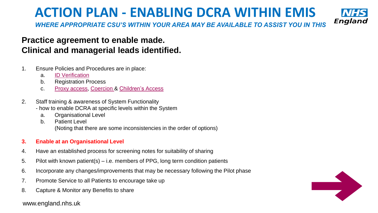### **ACTION PLAN - ENABLING DCRA WITHIN EMIS**



*WHERE APPROPRIATE CSU'S WITHIN YOUR AREA MAY BE AVAILABLE TO ASSIST YOU IN THIS*

### **Practice agreement to enable made. Clinical and managerial leads identified.**

- 1. Ensure Policies and Procedures are in place:
	- a. [ID Verification](http://elearning.rcgp.org.uk/course/view.php?id=181§ion=2)
	- b. Registration Process
	- c. [Proxy access,](http://elearning.rcgp.org.uk/course/view.php?id=181§ion=3) [Coercion &](http://elearning.rcgp.org.uk/course/view.php?id=181§ion=1) [Children's Access](http://elearning.rcgp.org.uk/course/view.php?id=181§ion=4)
- 2. Staff training & awareness of System Functionality
	- how to enable DCRA at specific levels within the System
		- a. Organisational Level
		- b. Patient Level (Noting that there are some inconsistencies in the order of options)

#### **3. Enable at an Organisational Level**

- 4. Have an established process for screening notes for suitability of sharing
- 5. Pilot with known patient(s) i.e. members of PPG, long term condition patients
- 6. Incorporate any changes/improvements that may be necessary following the Pilot phase
- 7. Promote Service to all Patients to encourage take up
- 8. Capture & Monitor any Benefits to share

#### www.england.nhs.uk

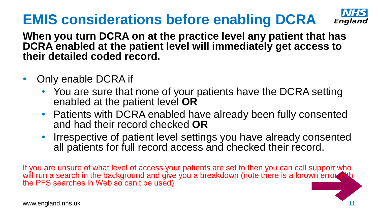## **EMIS considerations before enabling DCRA**



**When you turn DCRA on at the practice level any patient that has DCRA enabled at the patient level will immediately get access to their detailed coded record.**

- Only enable DCRA if
	- You are sure that none of your patients have the DCRA setting enabled at the patient level **OR**
	- Patients with DCRA enabled have already been fully consented and had their record checked **OR**
	- Irrespective of patient level settings you have already consented all patients for full record access and checked their record.

If you are unsure of what level of access your patients are set to then you can call support who will run a search in the background and give you a breakdown (note there is a known error w the PFS searches in Web so can't be used)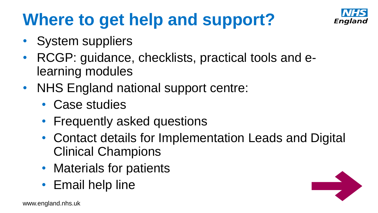## **Where to get help and support?**



- System suppliers
- RCGP: guidance, checklists, practical tools and elearning modules
- NHS England national support centre:
	- Case studies
	- Frequently asked questions
	- Contact details for Implementation Leads and Digital Clinical Champions
	- Materials for patients
	- Email help line